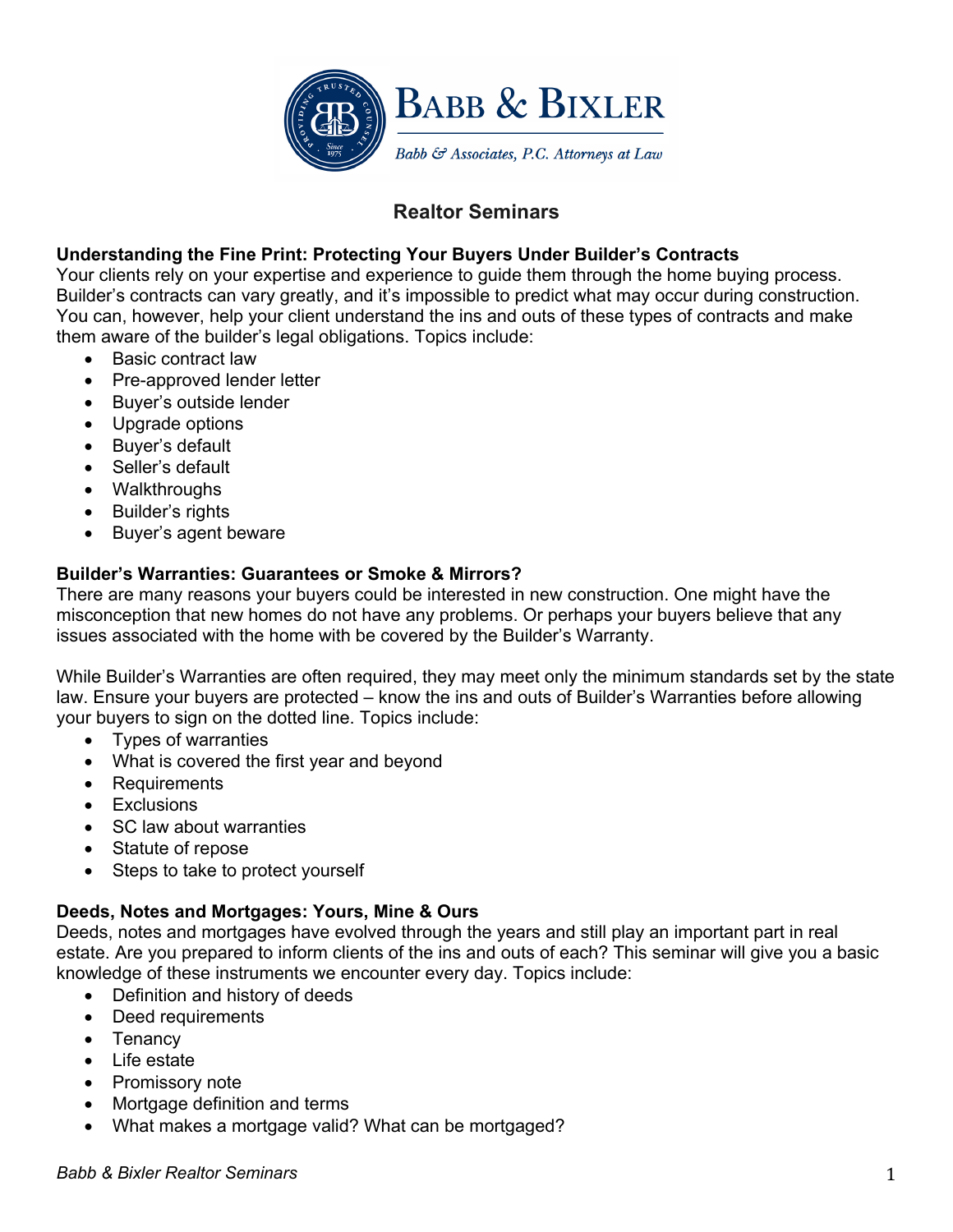

# **Realtor Seminars**

## **Understanding the Fine Print: Protecting Your Buyers Under Builder's Contracts**

Your clients rely on your expertise and experience to guide them through the home buying process. Builder's contracts can vary greatly, and it's impossible to predict what may occur during construction. You can, however, help your client understand the ins and outs of these types of contracts and make them aware of the builder's legal obligations. Topics include:

- Basic contract law
- Pre-approved lender letter
- Buyer's outside lender
- Upgrade options
- Buyer's default
- Seller's default
- Walkthroughs
- Builder's rights
- Buyer's agent beware

## **Builder's Warranties: Guarantees or Smoke & Mirrors?**

There are many reasons your buyers could be interested in new construction. One might have the misconception that new homes do not have any problems. Or perhaps your buyers believe that any issues associated with the home with be covered by the Builder's Warranty.

While Builder's Warranties are often required, they may meet only the minimum standards set by the state law. Ensure your buyers are protected – know the ins and outs of Builder's Warranties before allowing your buyers to sign on the dotted line. Topics include:

- Types of warranties
- What is covered the first year and beyond
- Requirements
- Exclusions
- SC law about warranties
- Statute of repose
- Steps to take to protect yourself

## **Deeds, Notes and Mortgages: Yours, Mine & Ours**

Deeds, notes and mortgages have evolved through the years and still play an important part in real estate. Are you prepared to inform clients of the ins and outs of each? This seminar will give you a basic knowledge of these instruments we encounter every day. Topics include:

- Definition and history of deeds
- Deed requirements
- Tenancy
- Life estate
- Promissory note
- Mortgage definition and terms
- What makes a mortgage valid? What can be mortgaged?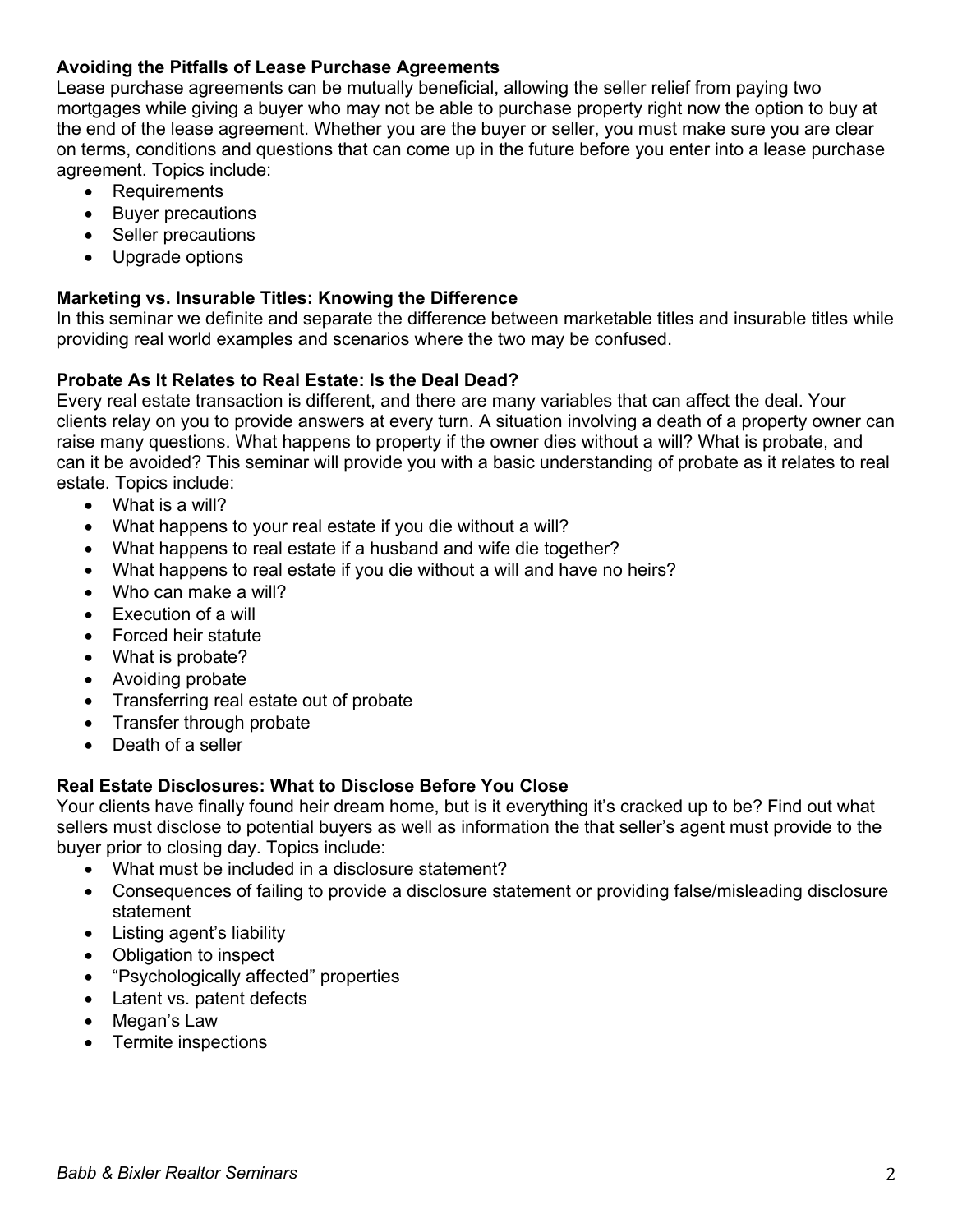## **Avoiding the Pitfalls of Lease Purchase Agreements**

Lease purchase agreements can be mutually beneficial, allowing the seller relief from paying two mortgages while giving a buyer who may not be able to purchase property right now the option to buy at the end of the lease agreement. Whether you are the buyer or seller, you must make sure you are clear on terms, conditions and questions that can come up in the future before you enter into a lease purchase agreement. Topics include:

- Requirements
- Buyer precautions
- Seller precautions
- Upgrade options

## **Marketing vs. Insurable Titles: Knowing the Difference**

In this seminar we definite and separate the difference between marketable titles and insurable titles while providing real world examples and scenarios where the two may be confused.

## **Probate As It Relates to Real Estate: Is the Deal Dead?**

Every real estate transaction is different, and there are many variables that can affect the deal. Your clients relay on you to provide answers at every turn. A situation involving a death of a property owner can raise many questions. What happens to property if the owner dies without a will? What is probate, and can it be avoided? This seminar will provide you with a basic understanding of probate as it relates to real estate. Topics include:

- What is a will?
- What happens to your real estate if you die without a will?
- What happens to real estate if a husband and wife die together?
- What happens to real estate if you die without a will and have no heirs?
- Who can make a will?
- Execution of a will
- Forced heir statute
- What is probate?
- Avoiding probate
- Transferring real estate out of probate
- Transfer through probate
- Death of a seller

## **Real Estate Disclosures: What to Disclose Before You Close**

Your clients have finally found heir dream home, but is it everything it's cracked up to be? Find out what sellers must disclose to potential buyers as well as information the that seller's agent must provide to the buyer prior to closing day. Topics include:

- What must be included in a disclosure statement?
- Consequences of failing to provide a disclosure statement or providing false/misleading disclosure statement
- Listing agent's liability
- Obligation to inspect
- "Psychologically affected" properties
- Latent vs. patent defects
- Megan's Law
- Termite inspections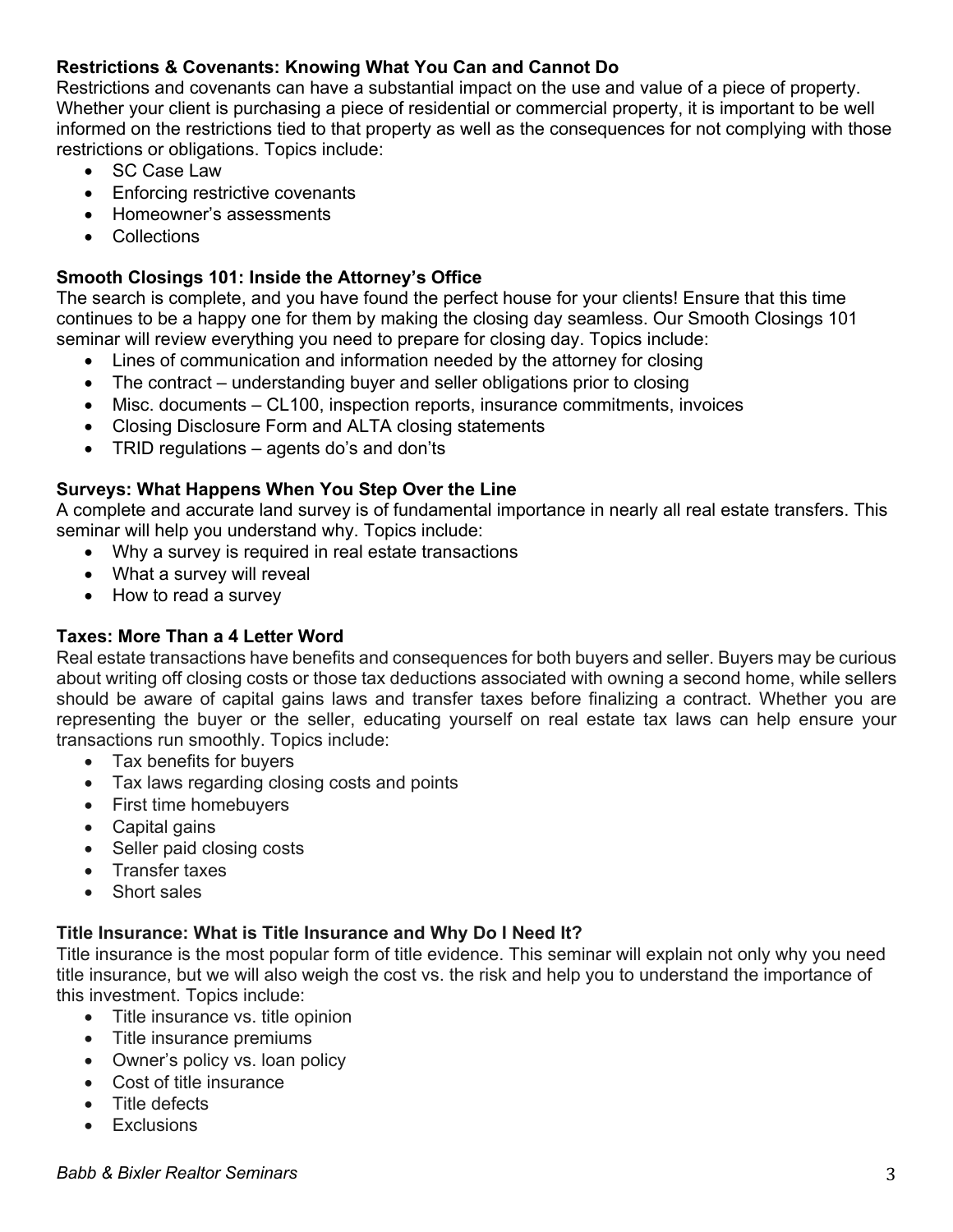## **Restrictions & Covenants: Knowing What You Can and Cannot Do**

Restrictions and covenants can have a substantial impact on the use and value of a piece of property. Whether your client is purchasing a piece of residential or commercial property, it is important to be well informed on the restrictions tied to that property as well as the consequences for not complying with those restrictions or obligations. Topics include:

- SC Case Law
- Enforcing restrictive covenants
- Homeowner's assessments
- Collections

#### **Smooth Closings 101: Inside the Attorney's Office**

The search is complete, and you have found the perfect house for your clients! Ensure that this time continues to be a happy one for them by making the closing day seamless. Our Smooth Closings 101 seminar will review everything you need to prepare for closing day. Topics include:

- Lines of communication and information needed by the attorney for closing
- The contract understanding buyer and seller obligations prior to closing
- Misc. documents CL100, inspection reports, insurance commitments, invoices
- Closing Disclosure Form and ALTA closing statements
- TRID regulations agents do's and don'ts

#### **Surveys: What Happens When You Step Over the Line**

A complete and accurate land survey is of fundamental importance in nearly all real estate transfers. This seminar will help you understand why. Topics include:

- Why a survey is required in real estate transactions
- What a survey will reveal
- How to read a survey

#### **Taxes: More Than a 4 Letter Word**

Real estate transactions have benefits and consequences for both buyers and seller. Buyers may be curious about writing off closing costs or those tax deductions associated with owning a second home, while sellers should be aware of capital gains laws and transfer taxes before finalizing a contract. Whether you are representing the buyer or the seller, educating yourself on real estate tax laws can help ensure your transactions run smoothly. Topics include:

- Tax benefits for buyers
- Tax laws regarding closing costs and points
- First time homebuyers
- Capital gains
- Seller paid closing costs
- Transfer taxes
- Short sales

#### **Title Insurance: What is Title Insurance and Why Do I Need It?**

Title insurance is the most popular form of title evidence. This seminar will explain not only why you need title insurance, but we will also weigh the cost vs. the risk and help you to understand the importance of this investment. Topics include:

- Title insurance vs. title opinion
- Title insurance premiums
- Owner's policy vs. loan policy
- Cost of title insurance
- Title defects
- **Exclusions**